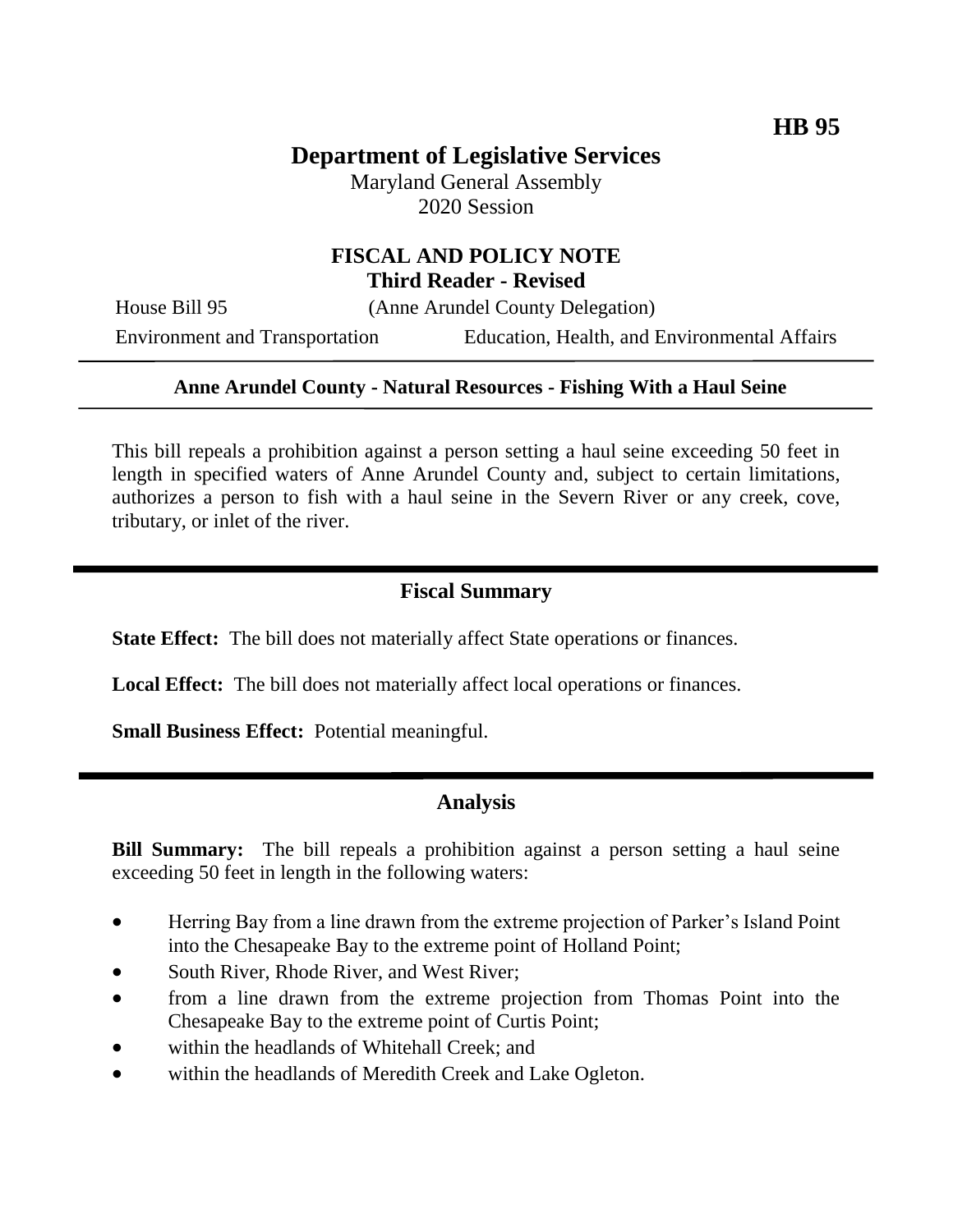# **Department of Legislative Services**

Maryland General Assembly 2020 Session

# **FISCAL AND POLICY NOTE Third Reader - Revised**

House Bill 95 (Anne Arundel County Delegation)

Environment and Transportation Education, Health, and Environmental Affairs

#### **Anne Arundel County - Natural Resources - Fishing With a Haul Seine**

This bill repeals a prohibition against a person setting a haul seine exceeding 50 feet in length in specified waters of Anne Arundel County and, subject to certain limitations, authorizes a person to fish with a haul seine in the Severn River or any creek, cove, tributary, or inlet of the river.

### **Fiscal Summary**

**State Effect:** The bill does not materially affect State operations or finances.

**Local Effect:** The bill does not materially affect local operations or finances.

**Small Business Effect:** Potential meaningful.

### **Analysis**

**Bill Summary:** The bill repeals a prohibition against a person setting a haul seine exceeding 50 feet in length in the following waters:

- Herring Bay from a line drawn from the extreme projection of Parker's Island Point into the Chesapeake Bay to the extreme point of Holland Point;
- South River, Rhode River, and West River;
- from a line drawn from the extreme projection from Thomas Point into the Chesapeake Bay to the extreme point of Curtis Point;
- within the headlands of Whitehall Creek; and
- within the headlands of Meredith Creek and Lake Ogleton.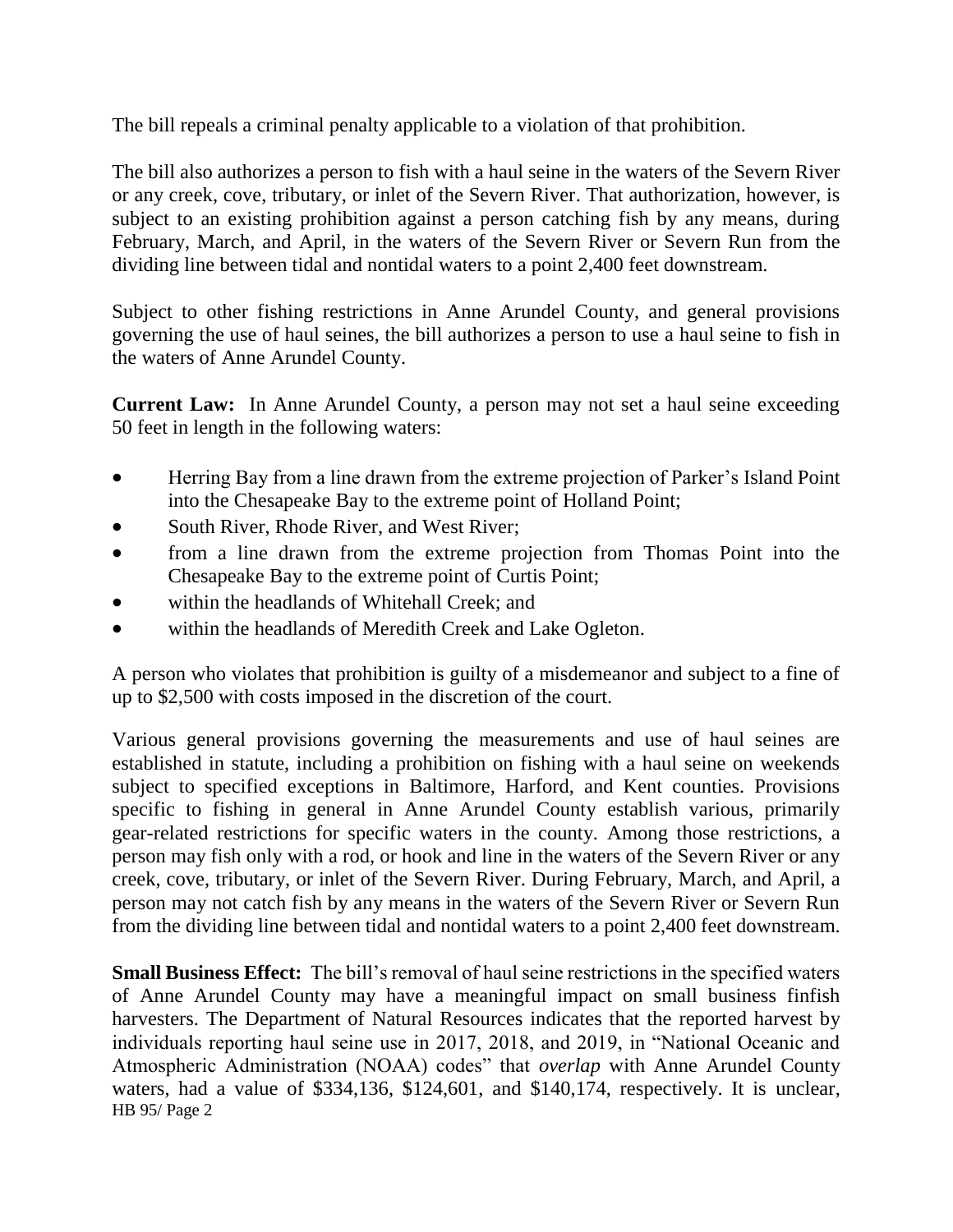The bill repeals a criminal penalty applicable to a violation of that prohibition.

The bill also authorizes a person to fish with a haul seine in the waters of the Severn River or any creek, cove, tributary, or inlet of the Severn River. That authorization, however, is subject to an existing prohibition against a person catching fish by any means, during February, March, and April, in the waters of the Severn River or Severn Run from the dividing line between tidal and nontidal waters to a point 2,400 feet downstream.

Subject to other fishing restrictions in Anne Arundel County, and general provisions governing the use of haul seines, the bill authorizes a person to use a haul seine to fish in the waters of Anne Arundel County.

**Current Law:** In Anne Arundel County, a person may not set a haul seine exceeding 50 feet in length in the following waters:

- Herring Bay from a line drawn from the extreme projection of Parker's Island Point into the Chesapeake Bay to the extreme point of Holland Point;
- South River, Rhode River, and West River;
- from a line drawn from the extreme projection from Thomas Point into the Chesapeake Bay to the extreme point of Curtis Point;
- within the headlands of Whitehall Creek; and
- within the headlands of Meredith Creek and Lake Ogleton.

A person who violates that prohibition is guilty of a misdemeanor and subject to a fine of up to \$2,500 with costs imposed in the discretion of the court.

Various general provisions governing the measurements and use of haul seines are established in statute, including a prohibition on fishing with a haul seine on weekends subject to specified exceptions in Baltimore, Harford, and Kent counties. Provisions specific to fishing in general in Anne Arundel County establish various, primarily gear-related restrictions for specific waters in the county. Among those restrictions, a person may fish only with a rod, or hook and line in the waters of the Severn River or any creek, cove, tributary, or inlet of the Severn River. During February, March, and April, a person may not catch fish by any means in the waters of the Severn River or Severn Run from the dividing line between tidal and nontidal waters to a point 2,400 feet downstream.

HB 95/ Page 2 **Small Business Effect:** The bill's removal of haul seine restrictions in the specified waters of Anne Arundel County may have a meaningful impact on small business finfish harvesters. The Department of Natural Resources indicates that the reported harvest by individuals reporting haul seine use in 2017, 2018, and 2019, in "National Oceanic and Atmospheric Administration (NOAA) codes" that *overlap* with Anne Arundel County waters, had a value of \$334,136, \$124,601, and \$140,174, respectively. It is unclear,